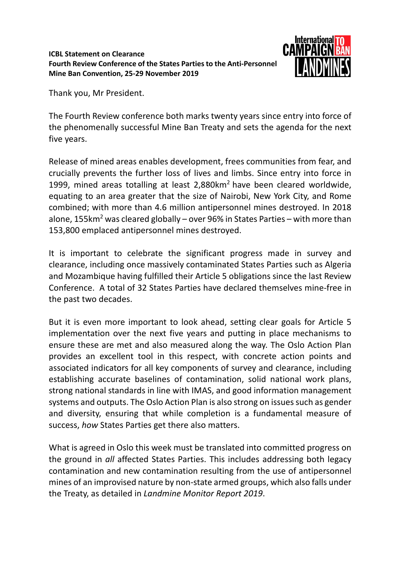## **ICBL Statement on Clearance Fourth Review Conference of the States Parties to the Anti-Personnel Mine Ban Convention, 25-29 November 2019**



Thank you, Mr President.

The Fourth Review conference both marks twenty years since entry into force of the phenomenally successful Mine Ban Treaty and sets the agenda for the next five years.

Release of mined areas enables development, frees communities from fear, and crucially prevents the further loss of lives and limbs. Since entry into force in 1999, mined areas totalling at least  $2,880$ km<sup>2</sup> have been cleared worldwide, equating to an area greater that the size of Nairobi, New York City, and Rome combined; with more than 4.6 million antipersonnel mines destroyed. In 2018 alone, 155km<sup>2</sup> was cleared globally – over 96% in States Parties – with more than 153,800 emplaced antipersonnel mines destroyed.

It is important to celebrate the significant progress made in survey and clearance, including once massively contaminated States Parties such as Algeria and Mozambique having fulfilled their Article 5 obligations since the last Review Conference. A total of 32 States Parties have declared themselves mine-free in the past two decades.

But it is even more important to look ahead, setting clear goals for Article 5 implementation over the next five years and putting in place mechanisms to ensure these are met and also measured along the way. The Oslo Action Plan provides an excellent tool in this respect, with concrete action points and associated indicators for all key components of survey and clearance, including establishing accurate baselines of contamination, solid national work plans, strong national standards in line with IMAS, and good information management systems and outputs. The Oslo Action Plan is also strong on issues such as gender and diversity, ensuring that while completion is a fundamental measure of success, *how* States Parties get there also matters.

What is agreed in Oslo this week must be translated into committed progress on the ground in *all* affected States Parties. This includes addressing both legacy contamination and new contamination resulting from the use of antipersonnel mines of an improvised nature by non-state armed groups, which also falls under the Treaty, as detailed in *Landmine Monitor Report 2019*.